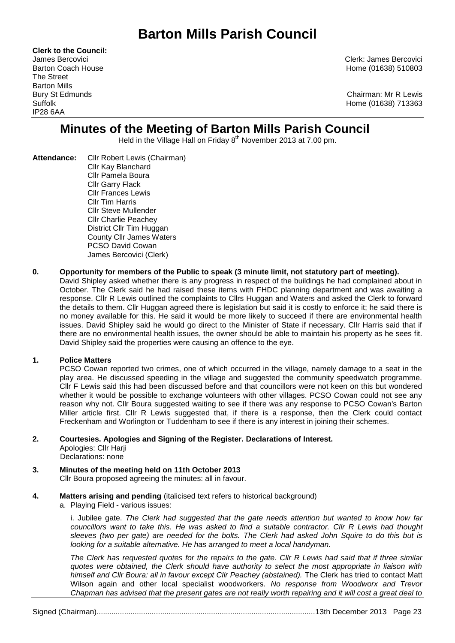# **Barton Mills Parish Council**

**Clerk to the Council:** The Street Barton Mills IP28 6AA

James Bercovici Clerk: James Bercovici Barton Coach House **Home (01638)** 510803

Bury St Edmunds Chairman: Mr R Lewis Suffolk Home (01638) 713363

## **Minutes of the Meeting of Barton Mills Parish Council**

Held in the Village Hall on Friday 8<sup>th</sup> November 2013 at 7.00 pm.

**Attendance:** Cllr Robert Lewis (Chairman) Cllr Kay Blanchard Cllr Pamela Boura Cllr Garry Flack Cllr Frances Lewis Cllr Tim Harris Cllr Steve Mullender Cllr Charlie Peachey District Cllr Tim Huggan County Cllr James Waters PCSO David Cowan James Bercovici (Clerk)

#### **0. Opportunity for members of the Public to speak (3 minute limit, not statutory part of meeting).**

David Shipley asked whether there is any progress in respect of the buildings he had complained about in October. The Clerk said he had raised these items with FHDC planning department and was awaiting a response. Cllr R Lewis outlined the complaints to Cllrs Huggan and Waters and asked the Clerk to forward the details to them. Cllr Huggan agreed there is legislation but said it is costly to enforce it; he said there is no money available for this. He said it would be more likely to succeed if there are environmental health issues. David Shipley said he would go direct to the Minister of State if necessary. Cllr Harris said that if there are no environmental health issues, the owner should be able to maintain his property as he sees fit. David Shipley said the properties were causing an offence to the eye.

#### **1. Police Matters**

PCSO Cowan reported two crimes, one of which occurred in the village, namely damage to a seat in the play area. He discussed speeding in the village and suggested the community speedwatch programme. Cllr F Lewis said this had been discussed before and that councillors were not keen on this but wondered whether it would be possible to exchange volunteers with other villages. PCSO Cowan could not see any reason why not. Cllr Boura suggested waiting to see if there was any response to PCSO Cowan's Barton Miller article first. Cllr R Lewis suggested that, if there is a response, then the Clerk could contact Freckenham and Worlington or Tuddenham to see if there is any interest in joining their schemes.

## **2. Courtesies. Apologies and Signing of the Register. Declarations of Interest.**

Apologies: Cllr Harji Declarations: none

- **3. Minutes of the meeting held on 11th October 2013** Cllr Boura proposed agreeing the minutes: all in favour.
- **4. Matters arising and pending** (italicised text refers to historical background)

a. Playing Field - various issues:

i. Jubilee gate. *The Clerk had suggested that the gate needs attention but wanted to know how far councillors want to take this. He was asked to find a suitable contractor. Cllr R Lewis had thought sleeves (two per gate) are needed for the bolts. The Clerk had asked John Squire to do this but is looking for a suitable alternative. He has arranged to meet a local handyman.*

*The Clerk has requested quotes for the repairs to the gate. Cllr R Lewis had said that if three similar quotes were obtained, the Clerk should have authority to select the most appropriate in liaison with himself and Cllr Boura: all in favour except Cllr Peachey (abstained).* The Clerk has tried to contact Matt Wilson again and other local specialist woodworkers. *No response from Woodworx and Trevor Chapman has advised that the present gates are not really worth repairing and it will cost a great deal to* 

Signed (Chairman).......................................................................................................13th December 2013 Page 23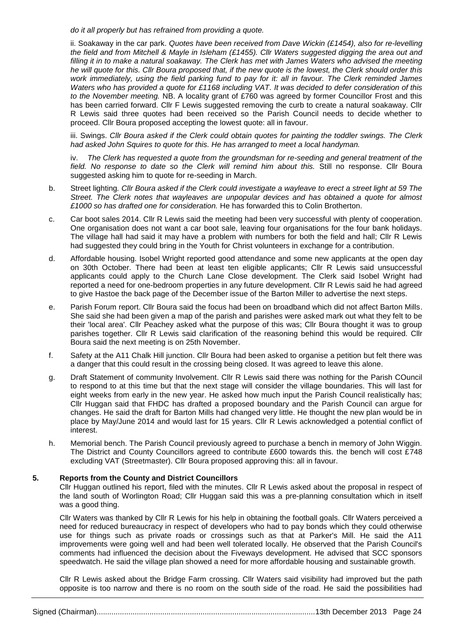*do it all properly but has refrained from providing a quote.*

ii. Soakaway in the car park. *Quotes have been received from Dave Wickin (£1454), also for re-levelling the field and from Mitchell & Mayle in Isleham (£1455). Cllr Waters suggested digging the area out and filling it in to make a natural soakaway. The Clerk has met with James Waters who advised the meeting he will quote for this. Cllr Boura proposed that, if the new quote is the lowest, the Clerk should order this work immediately, using the field parking fund to pay for it: all in favour. The Clerk reminded James Waters who has provided a quote for £1168 including VAT. It was decided to defer consideration of this to the November meeting.* NB. A locality grant of £760 was agreed by former Councillor Frost and this has been carried forward. Cllr F Lewis suggested removing the curb to create a natural soakaway. Cllr R Lewis said three quotes had been received so the Parish Council needs to decide whether to proceed. Cllr Boura proposed accepting the lowest quote: all in favour.

iii. Swings. *Cllr Boura asked if the Clerk could obtain quotes for painting the toddler swings. The Clerk had asked John Squires to quote for this. He has arranged to meet a local handyman.*

iv. *The Clerk has requested a quote from the groundsman for re-seeding and general treatment of the field. No response to date so the Clerk will remind him about this.* Still no response. Cllr Boura suggested asking him to quote for re-seeding in March.

- b. Street lighting*. Cllr Boura asked if the Clerk could investigate a wayleave to erect a street light at 59 The Street. The Clerk notes that wayleaves are unpopular devices and has obtained a quote for almost £1000 so has drafted one for consideration.* He has forwarded this to Colin Brotherton.
- c. Car boot sales 2014. Cllr R Lewis said the meeting had been very successful with plenty of cooperation. One organisation does not want a car boot sale, leaving four organisations for the four bank holidays. The village hall had said it may have a problem with numbers for both the field and hall; Cllr R Lewis had suggested they could bring in the Youth for Christ volunteers in exchange for a contribution.
- d. Affordable housing. Isobel Wright reported good attendance and some new applicants at the open day on 30th October. There had been at least ten eligible applicants; Cllr R Lewis said unsuccessful applicants could apply to the Church Lane Close development. The Clerk said Isobel Wright had reported a need for one-bedroom properties in any future development. Cllr R Lewis said he had agreed to give Hastoe the back page of the December issue of the Barton Miller to advertise the next steps.
- e. Parish Forum report. Cllr Boura said the focus had been on broadband which did not affect Barton Mills. She said she had been given a map of the parish and parishes were asked mark out what they felt to be their 'local area'. Cllr Peachey asked what the purpose of this was; Cllr Boura thought it was to group parishes together. Cllr R Lewis said clarification of the reasoning behind this would be required. Cllr Boura said the next meeting is on 25th November.
- f. Safety at the A11 Chalk Hill junction. Cllr Boura had been asked to organise a petition but felt there was a danger that this could result in the crossing being closed. It was agreed to leave this alone.
- g. Draft Statement of community Involvement. Cllr R Lewis said there was nothing for the Parish COuncil to respond to at this time but that the next stage will consider the village boundaries. This will last for eight weeks from early in the new year. He asked how much input the Parish Council realistically has; Cllr Huggan said that FHDC has drafted a proposed boundary and the Parish Council can argue for changes. He said the draft for Barton Mills had changed very little. He thought the new plan would be in place by May/June 2014 and would last for 15 years. Cllr R Lewis acknowledged a potential conflict of interest.
- h. Memorial bench. The Parish Council previously agreed to purchase a bench in memory of John Wiggin. The District and County Councillors agreed to contribute £600 towards this. the bench will cost £748 excluding VAT (Streetmaster). Cllr Boura proposed approving this: all in favour.

#### **5. Reports from the County and District Councillors**

Cllr Huggan outlined his report, filed with the minutes. Cllr R Lewis asked about the proposal in respect of the land south of Worlington Road; Cllr Huggan said this was a pre-planning consultation which in itself was a good thing.

Cllr Waters was thanked by Cllr R Lewis for his help in obtaining the football goals. Cllr Waters perceived a need for reduced bureaucracy in respect of developers who had to pay bonds which they could otherwise use for things such as private roads or crossings such as that at Parker's Mill. He said the A11 improvements were going well and had been well tolerated locally. He observed that the Parish Council's comments had influenced the decision about the Fiveways development. He advised that SCC sponsors speedwatch. He said the village plan showed a need for more affordable housing and sustainable growth.

Cllr R Lewis asked about the Bridge Farm crossing. Cllr Waters said visibility had improved but the path opposite is too narrow and there is no room on the south side of the road. He said the possibilities had